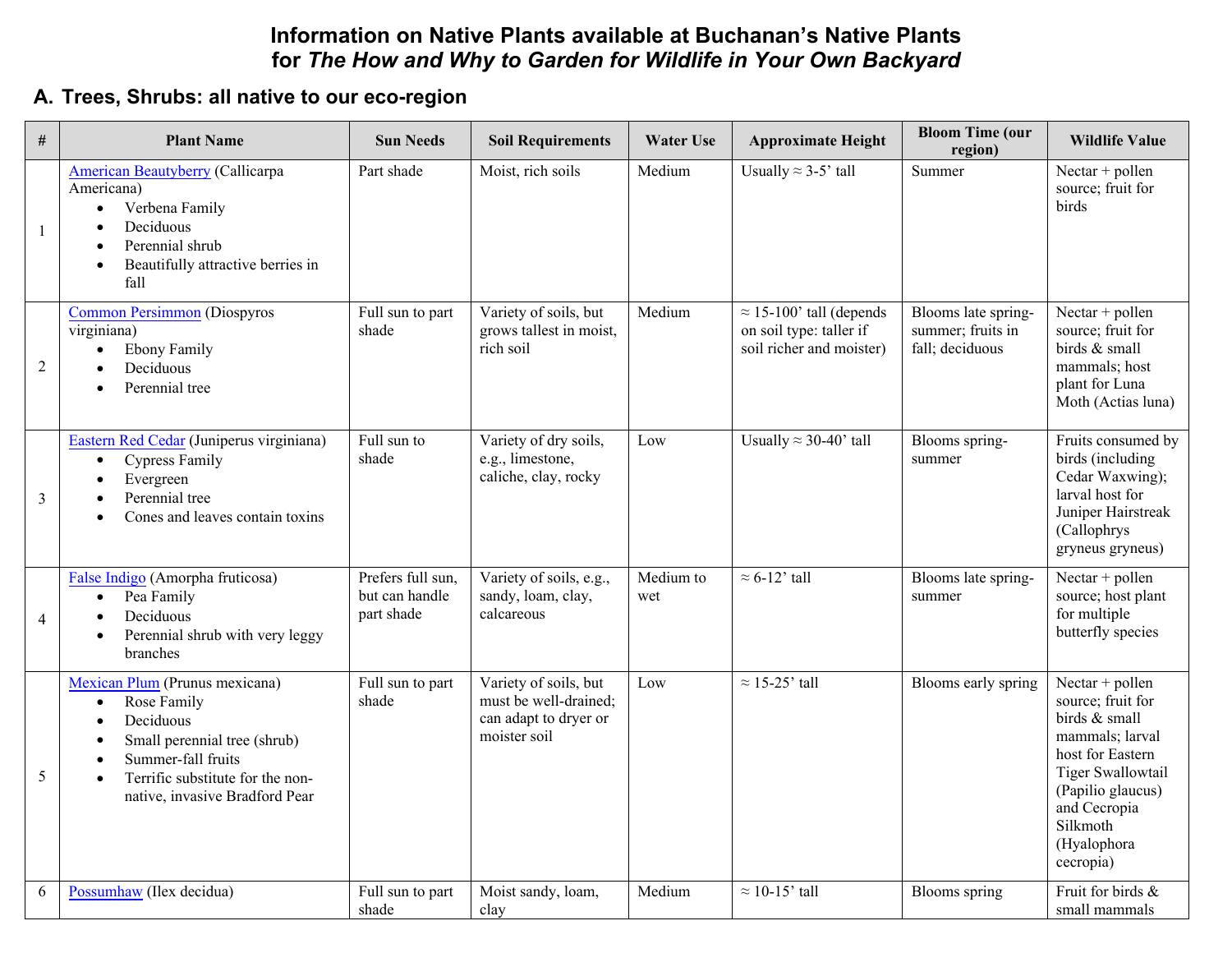## **Information on Native Plants available at Buchanan's Native Plants for** *The How and Why to Garden for Wildlife in Your Own Backyard*

## **A. Trees, Shrubs: all native to our eco-region**

| $\#$           | <b>Plant Name</b>                                                                                                                                                                                                | <b>Sun Needs</b>                                  | <b>Soil Requirements</b>                                                                | <b>Water Use</b> | <b>Approximate Height</b>                                                              | <b>Bloom Time (our</b><br>region)                           | <b>Wildlife Value</b>                                                                                                                                                                          |
|----------------|------------------------------------------------------------------------------------------------------------------------------------------------------------------------------------------------------------------|---------------------------------------------------|-----------------------------------------------------------------------------------------|------------------|----------------------------------------------------------------------------------------|-------------------------------------------------------------|------------------------------------------------------------------------------------------------------------------------------------------------------------------------------------------------|
|                | <b>American Beautyberry (Callicarpa</b><br>Americana)<br>Verbena Family<br>$\bullet$<br>Deciduous<br>Perennial shrub<br>Beautifully attractive berries in<br>$\bullet$<br>fall                                   | Part shade                                        | Moist, rich soils                                                                       | Medium           | Usually $\approx$ 3-5' tall                                                            | Summer                                                      | Nectar + pollen<br>source; fruit for<br>birds                                                                                                                                                  |
| $\overline{2}$ | <b>Common Persimmon (Diospyros</b><br>virginiana)<br><b>Ebony Family</b><br>$\bullet$<br>Deciduous<br>Perennial tree                                                                                             | Full sun to part<br>shade                         | Variety of soils, but<br>grows tallest in moist,<br>rich soil                           | Medium           | $\approx$ 15-100' tall (depends<br>on soil type: taller if<br>soil richer and moister) | Blooms late spring-<br>summer; fruits in<br>fall; deciduous | Nectar + pollen<br>source; fruit for<br>birds & small<br>mammals; host<br>plant for Luna<br>Moth (Actias luna)                                                                                 |
| 3              | Eastern Red Cedar (Juniperus virginiana)<br><b>Cypress Family</b><br>$\bullet$<br>Evergreen<br>Perennial tree<br>Cones and leaves contain toxins                                                                 | Full sun to<br>shade                              | Variety of dry soils,<br>e.g., limestone,<br>caliche, clay, rocky                       | Low              | Usually $\approx$ 30-40' tall                                                          | Blooms spring-<br>summer                                    | Fruits consumed by<br>birds (including<br>Cedar Waxwing);<br>larval host for<br>Juniper Hairstreak<br>(Callophrys<br>gryneus gryneus)                                                          |
| $\overline{4}$ | False Indigo (Amorpha fruticosa)<br>Pea Family<br>$\bullet$<br>Deciduous<br>Perennial shrub with very leggy<br>branches                                                                                          | Prefers full sun.<br>but can handle<br>part shade | Variety of soils, e.g.,<br>sandy, loam, clay,<br>calcareous                             | Medium to<br>wet | $\approx$ 6-12' tall                                                                   | Blooms late spring-<br>summer                               | Nectar + pollen<br>source; host plant<br>for multiple<br>butterfly species                                                                                                                     |
| 5              | Mexican Plum (Prunus mexicana)<br>Rose Family<br>$\bullet$<br>Deciduous<br>Small perennial tree (shrub)<br>Summer-fall fruits<br>Terrific substitute for the non-<br>$\bullet$<br>native, invasive Bradford Pear | Full sun to part<br>shade                         | Variety of soils, but<br>must be well-drained;<br>can adapt to dryer or<br>moister soil | Low              | $\approx$ 15-25' tall                                                                  | Blooms early spring                                         | Nectar + pollen<br>source; fruit for<br>birds & small<br>mammals; larval<br>host for Eastern<br>Tiger Swallowtail<br>(Papilio glaucus)<br>and Cecropia<br>Silkmoth<br>(Hyalophora<br>cecropia) |
| 6              | Possumhaw (Ilex decidua)                                                                                                                                                                                         | Full sun to part<br>shade                         | Moist sandy, loam,<br>clay                                                              | Medium           | $\approx$ 10-15' tall                                                                  | Blooms spring                                               | Fruit for birds &<br>small mammals                                                                                                                                                             |